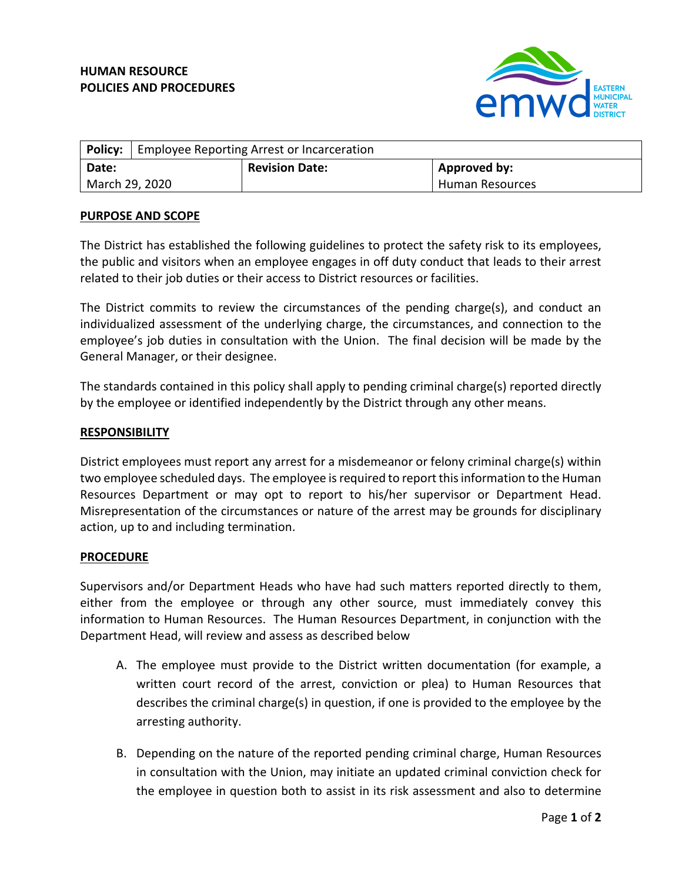# **HUMAN RESOURCE POLICIES AND PROCEDURES**



|                | <b>Policy:</b> Employee Reporting Arrest or Incarceration |                       |                        |
|----------------|-----------------------------------------------------------|-----------------------|------------------------|
| Date:          |                                                           | <b>Revision Date:</b> | <b>Approved by:</b>    |
| March 29, 2020 |                                                           |                       | <b>Human Resources</b> |

### **PURPOSE AND SCOPE**

The District has established the following guidelines to protect the safety risk to its employees, the public and visitors when an employee engages in off duty conduct that leads to their arrest related to their job duties or their access to District resources or facilities.

The District commits to review the circumstances of the pending charge(s), and conduct an individualized assessment of the underlying charge, the circumstances, and connection to the employee's job duties in consultation with the Union. The final decision will be made by the General Manager, or their designee.

The standards contained in this policy shall apply to pending criminal charge(s) reported directly by the employee or identified independently by the District through any other means.

### **RESPONSIBILITY**

District employees must report any arrest for a misdemeanor or felony criminal charge(s) within two employee scheduled days. The employee is required to report this information to the Human Resources Department or may opt to report to his/her supervisor or Department Head. Misrepresentation of the circumstances or nature of the arrest may be grounds for disciplinary action, up to and including termination.

#### **PROCEDURE**

Supervisors and/or Department Heads who have had such matters reported directly to them, either from the employee or through any other source, must immediately convey this information to Human Resources. The Human Resources Department, in conjunction with the Department Head, will review and assess as described below

- A. The employee must provide to the District written documentation (for example, a written court record of the arrest, conviction or plea) to Human Resources that describes the criminal charge(s) in question, if one is provided to the employee by the arresting authority.
- B. Depending on the nature of the reported pending criminal charge, Human Resources in consultation with the Union, may initiate an updated criminal conviction check for the employee in question both to assist in its risk assessment and also to determine